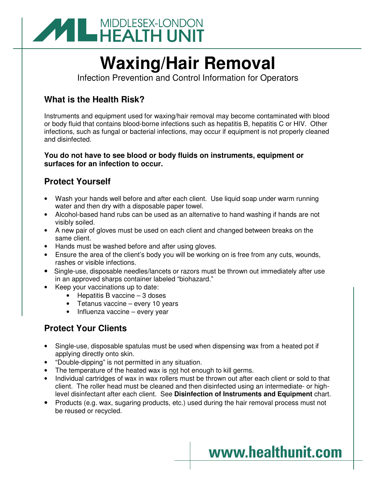

# **Waxing/Hair Removal**

Infection Prevention and Control Information for Operators

#### **What is the Health Risk?**

Instruments and equipment used for waxing/hair removal may become contaminated with blood or body fluid that contains blood-borne infections such as hepatitis B, hepatitis C or HIV. Other infections, such as fungal or bacterial infections, may occur if equipment is not properly cleaned and disinfected.

#### **You do not have to see blood or body fluids on instruments, equipment or surfaces for an infection to occur.**

## **Protect Yourself**

- Wash your hands well before and after each client. Use liquid soap under warm running water and then dry with a disposable paper towel.
- Alcohol-based hand rubs can be used as an alternative to hand washing if hands are not visibly soiled.
- A new pair of gloves must be used on each client and changed between breaks on the same client.
- Hands must be washed before and after using gloves.
- Ensure the area of the client's body you will be working on is free from any cuts, wounds, rashes or visible infections.
- Single-use, disposable needles/lancets or razors must be thrown out immediately after use in an approved sharps container labeled "biohazard."
- Keep your vaccinations up to date:
	- Hepatitis B vaccine 3 doses
	- Tetanus vaccine every 10 years
	- Influenza vaccine every year

## **Protect Your Clients**

- Single-use, disposable spatulas must be used when dispensing wax from a heated pot if applying directly onto skin.
- "Double-dipping" is not permitted in any situation.
- The temperature of the heated wax is not hot enough to kill germs.
- Individual cartridges of wax in wax rollers must be thrown out after each client or sold to that client. The roller head must be cleaned and then disinfected using an intermediate- or highlevel disinfectant after each client. See **Disinfection of Instruments and Equipment** chart.
- Products (e.g. wax, sugaring products, etc.) used during the hair removal process must not be reused or recycled.

## www.healthunit.com